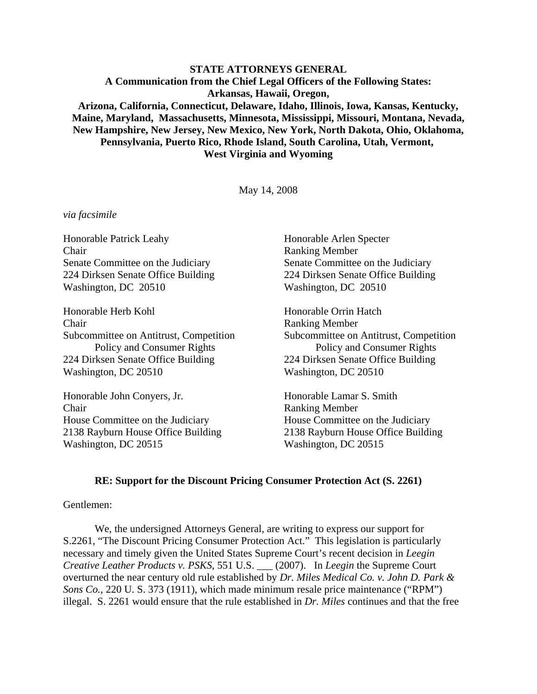**STATE ATTORNEYS GENERAL A Communication from the Chief Legal Officers of the Following States: Arkansas, Hawaii, Oregon, Arizona, California, Connecticut, Delaware, Idaho, Illinois, Iowa, Kansas, Kentucky, Maine, Maryland, Massachusetts, Minnesota, Mississippi, Missouri, Montana, Nevada, New Hampshire, New Jersey, New Mexico, New York, North Dakota, Ohio, Oklahoma, Pennsylvania, Puerto Rico, Rhode Island, South Carolina, Utah, Vermont, West Virginia and Wyoming**

May 14, 2008

#### *via facsimile*

Honorable Patrick Leahy Honorable Arlen Specter Chair Ranking Member Senate Committee on the Judiciary Senate Committee on the Judiciary 224 Dirksen Senate Office Building 224 Dirksen Senate Office Building Washington, DC 20510 Washington, DC 20510 Honorable Herb Kohl Honorable Orrin Hatch Chair Ranking Member Subcommittee on Antitrust, Competition Subcommittee on Antitrust, Competition Policy and Consumer Rights Policy and Consumer Rights 224 Dirksen Senate Office Building 224 Dirksen Senate Office Building Washington, DC 20510 Washington, DC 20510 Honorable John Conyers, Jr. Honorable Lamar S. Smith Chair Ranking Member House Committee on the Judiciary House Committee on the Judiciary 2138 Rayburn House Office Building 2138 Rayburn House Office Building Washington, DC 20515 Washington, DC 20515

#### **RE: Support for the Discount Pricing Consumer Protection Act (S. 2261)**

### Gentlemen:

We, the undersigned Attorneys General, are writing to express our support for S.2261, "The Discount Pricing Consumer Protection Act." This legislation is particularly necessary and timely given the United States Supreme Court's recent decision in *Leegin Creative Leather Products v. PSKS*, 551 U.S. \_\_\_ (2007). In *Leegin* the Supreme Court overturned the near century old rule established by *Dr. Miles Medical Co. v. John D. Park & Sons Co.,* 220 U. S. 373 (1911), which made minimum resale price maintenance ("RPM") illegal. S. 2261 would ensure that the rule established in *Dr. Miles* continues and that the free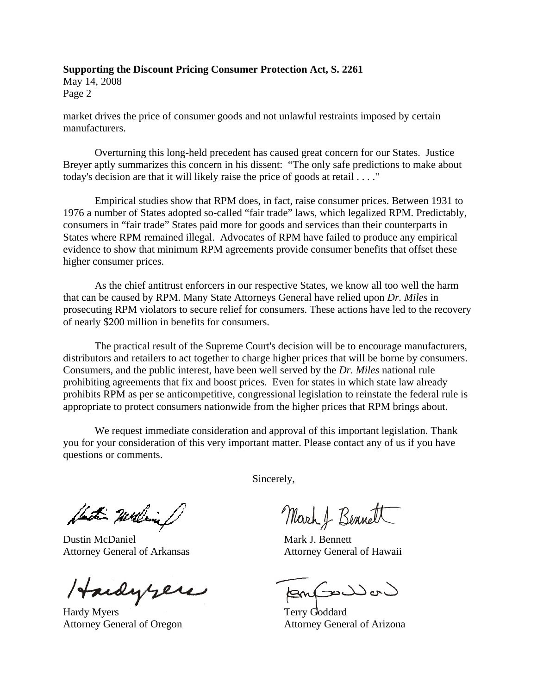May 14, 2008 Page 2

market drives the price of consumer goods and not unlawful restraints imposed by certain manufacturers.

Overturning this long-held precedent has caused great concern for our States. Justice Breyer aptly summarizes this concern in his dissent: "The only safe predictions to make about today's decision are that it will likely raise the price of goods at retail . . . ."

Empirical studies show that RPM does, in fact, raise consumer prices. Between 1931 to 1976 a number of States adopted so-called "fair trade" laws, which legalized RPM. Predictably, consumers in "fair trade" States paid more for goods and services than their counterparts in States where RPM remained illegal. Advocates of RPM have failed to produce any empirical evidence to show that minimum RPM agreements provide consumer benefits that offset these higher consumer prices.

As the chief antitrust enforcers in our respective States, we know all too well the harm that can be caused by RPM. Many State Attorneys General have relied upon *Dr. Miles* in prosecuting RPM violators to secure relief for consumers. These actions have led to the recovery of nearly \$200 million in benefits for consumers.

The practical result of the Supreme Court's decision will be to encourage manufacturers, distributors and retailers to act together to charge higher prices that will be borne by consumers. Consumers, and the public interest, have been well served by the *Dr. Miles* national rule prohibiting agreements that fix and boost prices. Even for states in which state law already prohibits RPM as per se anticompetitive, congressional legislation to reinstate the federal rule is appropriate to protect consumers nationwide from the higher prices that RPM brings about.

We request immediate consideration and approval of this important legislation. Thank you for your consideration of this very important matter. Please contact any of us if you have questions or comments.

Det William

Dustin McDaniel Attorney General of Arkansas

Hardyzen

Attorney General of Oregon

Sincerely,

March & Bennett

Mark J. Bennett Attorney General of Hawaii

أحماك مرك

Terry Goddard Attorney General of Arizona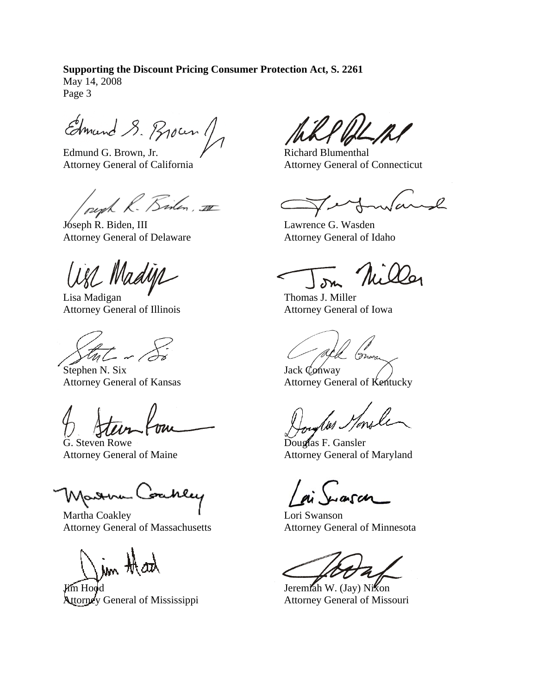May 14, 2008 Page 3

Edmand S. Brown 1

Edmund G. Brown, Jr. Attorney General of California

peoph R. Bisten, II

Jóseph R. Biden, III Attorney General of Delaware

are Madye

Lisa Madigan Attorney General of Illinois

Stephen N. Six Attorney General of Kansas

G. Steven Rowe Attorney General of Maine

Marna Coahley

Martha Coakley Attorney General of Massachusetts

in that

Jim Hood Attorney General of Mississippi

Richard Blumenthal Attorney General of Connecticut

Lawrence G. Wasden Attorney General of Idaho

Thomas J. Miller Attorney General of Iowa

Jack Conway Attorney General of Kentucky

Douglas F. Gansler Attorney General of Maryland

Lori Swanson Attorney General of Minnesota

Jeremiah W. (Jay) Nixon Attorney General of Missouri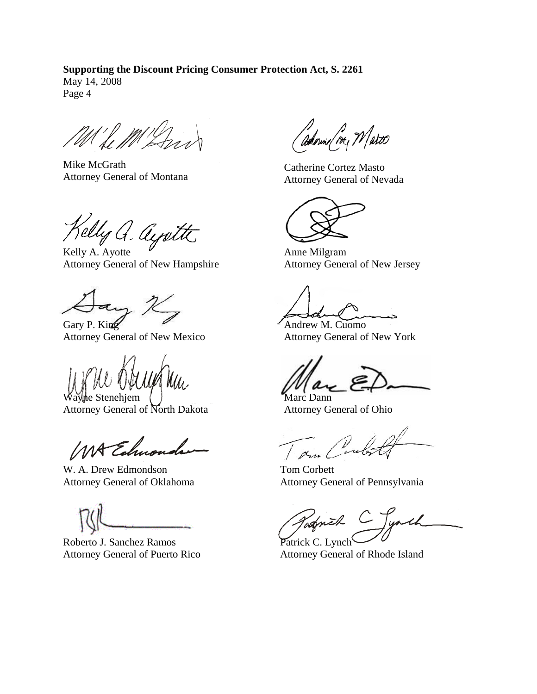May 14, 2008 Page 4

Mike McGrath Attorney General of Montana

Kelly a. ayatte

Attorney General of New Hampshire

Gary P. King Attorney General of New Mexico

Wayne Stenehiem

Attorney General of North Dakota

MA Edmo

W. A. Drew Edmondson Attorney General of Oklahoma

Roberto J. Sanchez Ramos Attorney General of Puerto Rico

adornie/ ire, Watco

Catherine Cortez Masto Attorney General of Nevada

Anne Milgram Attorney General of New Jersey

Andrew M. Cuomo Attorney General of New York

Marc Dann Attorney General of Ohio

Tom Corbett Attorney General of Pennsylvania

Tagnik Patrick C. Lynch

Attorney General of Rhode Island